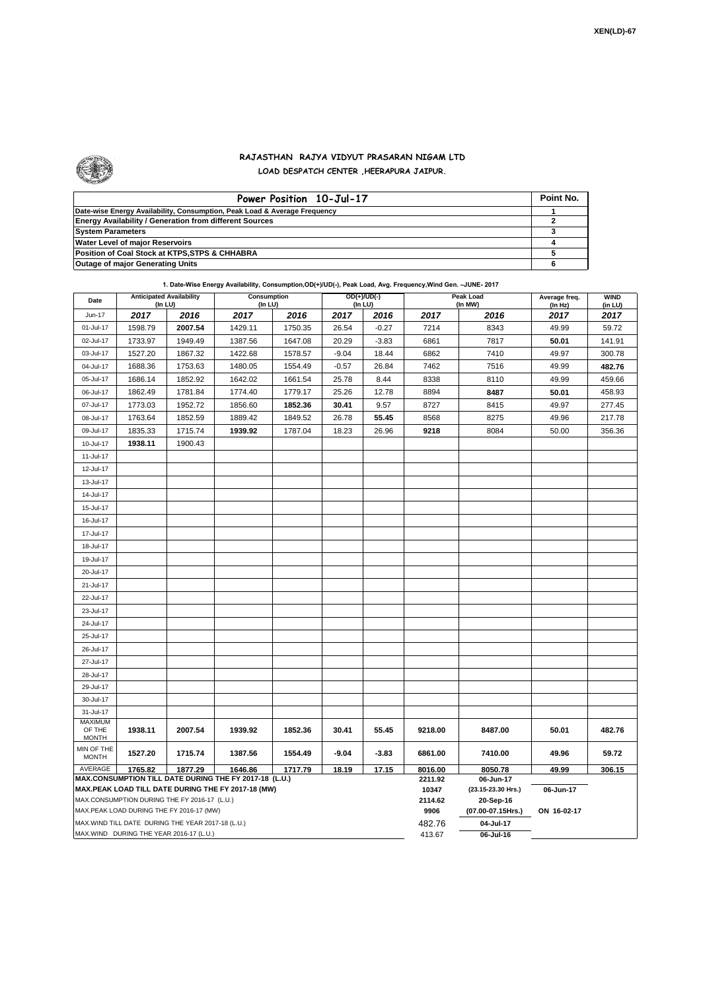

 $\mathbf{r}$ 

## **RAJASTHAN RAJYA VIDYUT PRASARAN NIGAM LTD LOAD DESPATCH CENTER ,HEERAPURA JAIPUR.**

| Power Position 10-Jul-17                                                  | Point No. |
|---------------------------------------------------------------------------|-----------|
| Date-wise Energy Availability, Consumption, Peak Load & Average Frequency |           |
| <b>Energy Availability / Generation from different Sources</b>            |           |
| <b>System Parameters</b>                                                  |           |
| <b>Water Level of major Reservoirs</b>                                    |           |
| Position of Coal Stock at KTPS, STPS & CHHABRA                            |           |
| <b>Outage of major Generating Units</b>                                   |           |

|  |  | 1. Date-Wise Energy Availability, Consumption,OD(+)/UD(-), Peak Load, Avg. Frequency, Wind Gen. -JUNE- 2017 |
|--|--|-------------------------------------------------------------------------------------------------------------|
|--|--|-------------------------------------------------------------------------------------------------------------|

| Date                                                                                               | <b>Anticipated Availability</b><br>(In LU)                 |         | Consumption<br>(In LU) |         | OD(+)/UD(-)<br>(In LU) |         | . g. <i>.</i> ,    | Peak Load<br>(In MW)           | Average freq.<br>(ln Hz) | <b>WIND</b><br>(in LU) |  |  |
|----------------------------------------------------------------------------------------------------|------------------------------------------------------------|---------|------------------------|---------|------------------------|---------|--------------------|--------------------------------|--------------------------|------------------------|--|--|
| Jun-17                                                                                             | 2017                                                       | 2016    | 2017                   | 2016    | 2017                   | 2016    | 2017               | 2016                           | 2017                     | 2017                   |  |  |
| 01-Jul-17                                                                                          | 1598.79                                                    | 2007.54 | 1429.11                | 1750.35 | 26.54                  | $-0.27$ | 7214               | 8343                           | 49.99                    | 59.72                  |  |  |
| 02-Jul-17                                                                                          | 1733.97                                                    | 1949.49 | 1387.56                | 1647.08 | 20.29                  | $-3.83$ | 6861               | 7817                           | 50.01                    | 141.91                 |  |  |
| 03-Jul-17                                                                                          | 1527.20                                                    | 1867.32 | 1422.68                | 1578.57 | $-9.04$                | 18.44   | 6862               | 7410                           | 49.97                    | 300.78                 |  |  |
| 04-Jul-17                                                                                          | 1688.36                                                    | 1753.63 | 1480.05                | 1554.49 | $-0.57$                | 26.84   | 7462               | 7516                           | 49.99                    | 482.76                 |  |  |
| 05-Jul-17                                                                                          | 1686.14                                                    | 1852.92 | 1642.02                | 1661.54 | 25.78                  | 8.44    | 8338               | 8110                           | 49.99                    | 459.66                 |  |  |
| 06-Jul-17                                                                                          | 1862.49                                                    | 1781.84 | 1774.40                | 1779.17 | 25.26                  | 12.78   | 8894               | 8487                           | 50.01                    | 458.93                 |  |  |
| 07-Jul-17                                                                                          | 1773.03                                                    | 1952.72 | 1856.60                | 1852.36 | 30.41                  | 9.57    | 8727               | 8415                           | 49.97                    | 277.45                 |  |  |
| 08-Jul-17                                                                                          | 1763.64                                                    | 1852.59 | 1889.42                | 1849.52 | 26.78                  | 55.45   | 8568               | 8275                           | 49.96                    | 217.78                 |  |  |
| 09-Jul-17                                                                                          | 1835.33                                                    | 1715.74 | 1939.92                | 1787.04 | 18.23                  | 26.96   | 9218               | 8084                           | 50.00                    | 356.36                 |  |  |
| 10-Jul-17                                                                                          | 1938.11                                                    | 1900.43 |                        |         |                        |         |                    |                                |                          |                        |  |  |
| 11-Jul-17                                                                                          |                                                            |         |                        |         |                        |         |                    |                                |                          |                        |  |  |
| 12-Jul-17                                                                                          |                                                            |         |                        |         |                        |         |                    |                                |                          |                        |  |  |
| 13-Jul-17                                                                                          |                                                            |         |                        |         |                        |         |                    |                                |                          |                        |  |  |
| 14-Jul-17                                                                                          |                                                            |         |                        |         |                        |         |                    |                                |                          |                        |  |  |
|                                                                                                    |                                                            |         |                        |         |                        |         |                    |                                |                          |                        |  |  |
| 15-Jul-17                                                                                          |                                                            |         |                        |         |                        |         |                    |                                |                          |                        |  |  |
| 16-Jul-17                                                                                          |                                                            |         |                        |         |                        |         |                    |                                |                          |                        |  |  |
| 17-Jul-17                                                                                          |                                                            |         |                        |         |                        |         |                    |                                |                          |                        |  |  |
| 18-Jul-17                                                                                          |                                                            |         |                        |         |                        |         |                    |                                |                          |                        |  |  |
| 19-Jul-17                                                                                          |                                                            |         |                        |         |                        |         |                    |                                |                          |                        |  |  |
| 20-Jul-17                                                                                          |                                                            |         |                        |         |                        |         |                    |                                |                          |                        |  |  |
| 21-Jul-17                                                                                          |                                                            |         |                        |         |                        |         |                    |                                |                          |                        |  |  |
| 22-Jul-17                                                                                          |                                                            |         |                        |         |                        |         |                    |                                |                          |                        |  |  |
| 23-Jul-17                                                                                          |                                                            |         |                        |         |                        |         |                    |                                |                          |                        |  |  |
| 24-Jul-17                                                                                          |                                                            |         |                        |         |                        |         |                    |                                |                          |                        |  |  |
| 25-Jul-17                                                                                          |                                                            |         |                        |         |                        |         |                    |                                |                          |                        |  |  |
| 26-Jul-17                                                                                          |                                                            |         |                        |         |                        |         |                    |                                |                          |                        |  |  |
| 27-Jul-17                                                                                          |                                                            |         |                        |         |                        |         |                    |                                |                          |                        |  |  |
| 28-Jul-17                                                                                          |                                                            |         |                        |         |                        |         |                    |                                |                          |                        |  |  |
| 29-Jul-17                                                                                          |                                                            |         |                        |         |                        |         |                    |                                |                          |                        |  |  |
| 30-Jul-17                                                                                          |                                                            |         |                        |         |                        |         |                    |                                |                          |                        |  |  |
| 31-Jul-17                                                                                          |                                                            |         |                        |         |                        |         |                    |                                |                          |                        |  |  |
| MAXIMUM<br>OF THE                                                                                  | 1938.11                                                    | 2007.54 | 1939.92                | 1852.36 | 30.41                  | 55.45   | 9218.00            | 8487.00                        | 50.01                    | 482.76                 |  |  |
| <b>MONTH</b>                                                                                       |                                                            |         |                        |         |                        |         |                    |                                |                          |                        |  |  |
| MIN OF THE<br><b>MONTH</b>                                                                         | 1527.20                                                    | 1715.74 | 1387.56                | 1554.49 | -9.04                  | $-3.83$ | 6861.00            | 7410.00                        | 49.96                    | 59.72                  |  |  |
| AVERAGE                                                                                            | 1877.29<br>1765.82<br>1646.86<br>1717.79<br>18.19<br>17.15 |         |                        |         |                        | 8016.00 | 8050.78            | 49.99<br>306.15                |                          |                        |  |  |
| MAX.CONSUMPTION TILL DATE DURING THE FY 2017-18 (L.U.)                                             |                                                            |         |                        |         |                        |         | 2211.92            | 06-Jun-17                      |                          |                        |  |  |
| MAX.PEAK LOAD TILL DATE DURING THE FY 2017-18 (MW)<br>MAX.CONSUMPTION DURING THE FY 2016-17 (L.U.) |                                                            |         |                        |         |                        | 10347   | (23.15-23.30 Hrs.) | 06-Jun-17                      |                          |                        |  |  |
|                                                                                                    | MAX.PEAK LOAD DURING THE FY 2016-17 (MW)                   |         |                        |         |                        |         | 2114.62<br>9906    | 20-Sep-16<br>(07.00-07.15Hrs.) | ON 16-02-17              |                        |  |  |
|                                                                                                    |                                                            |         |                        |         |                        |         | 482.76             | 04-Jul-17                      |                          |                        |  |  |
| MAX. WIND TILL DATE DURING THE YEAR 2017-18 (L.U.)<br>MAX.WIND DURING THE YEAR 2016-17 (L.U.)      |                                                            |         |                        |         |                        |         |                    | 06-Jul-16                      |                          |                        |  |  |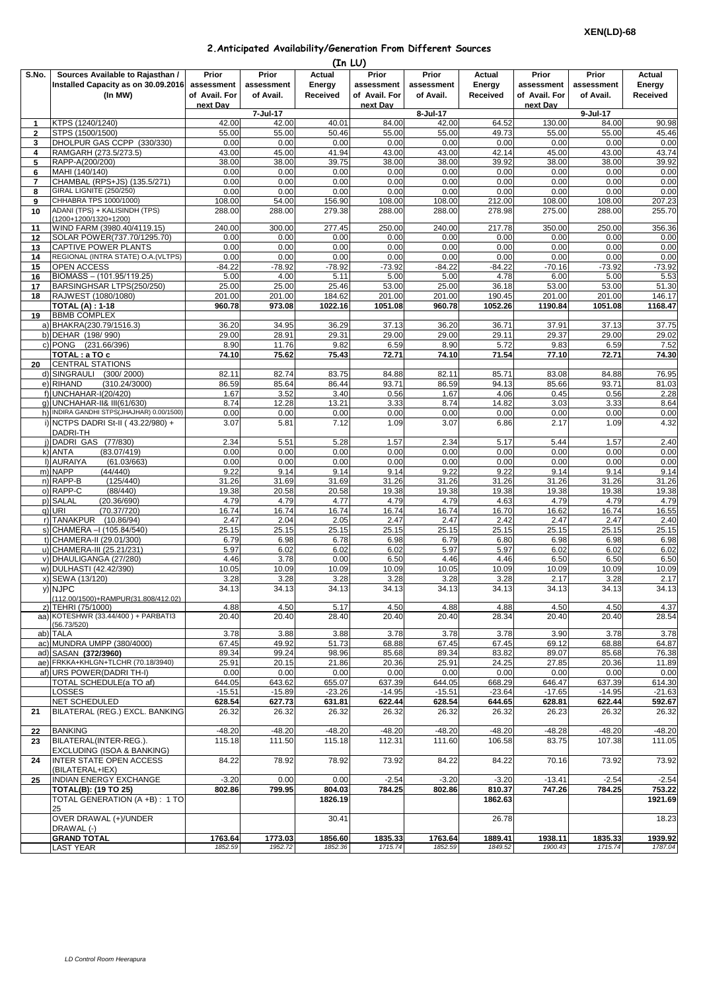## **2.Anticipated Availability/Generation From Different Sources**

|                | (In LU)                                             |               |                   |               |               |                   |               |               |                   |               |  |
|----------------|-----------------------------------------------------|---------------|-------------------|---------------|---------------|-------------------|---------------|---------------|-------------------|---------------|--|
| S.No.          | Sources Available to Rajasthan /                    | Prior         | Prior             | <b>Actual</b> | Prior         | Prior             | Actual        | Prior         | Prior             | Actual        |  |
|                | Installed Capacity as on 30.09.2016                 | assessment    | assessment        | Energy        | assessment    | assessment        | Energy        | assessment    | assessment        | Energy        |  |
|                | (In MW)                                             | of Avail. For | of Avail.         | Received      | of Avail. For | of Avail.         | Received      | of Avail. For | of Avail.         | Received      |  |
|                |                                                     | next Dav      |                   |               | next Dav      |                   |               | next Dav      |                   |               |  |
| 1              | KTPS (1240/1240)                                    | 42.00         | 7-Jul-17<br>42.00 | 40.01         | 84.00         | 8-Jul-17<br>42.00 | 64.52         | 130.00        | 9-Jul-17<br>84.00 | 90.98         |  |
| $\overline{2}$ | STPS (1500/1500)                                    | 55.00         | 55.00             | 50.46         | 55.00         | 55.00             | 49.73         | 55.00         | 55.00             | 45.46         |  |
| 3              | DHOLPUR GAS CCPP (330/330)                          | 0.00          | 0.00              | 0.00          | 0.00          | 0.00              | 0.00          | 0.00          | 0.00              | 0.00          |  |
| 4              | RAMGARH (273.5/273.5)                               | 43.00         | 45.00             | 41.94         | 43.00         | 43.00             | 42.14         | 45.00         | 43.00             | 43.74         |  |
| 5              | RAPP-A(200/200)                                     | 38.00         | 38.00             | 39.75         | 38.00         | 38.00             | 39.92         | 38.00         | 38.00             | 39.92         |  |
| 6              | MAHI (140/140)                                      | 0.00          | 0.00              | 0.00          | 0.00          | 0.00              | 0.00          | 0.00          | 0.00              | 0.00          |  |
| $\overline{7}$ | CHAMBAL (RPS+JS) (135.5/271)                        | 0.00          | 0.00              | 0.00          | 0.00          | 0.00              | 0.00          | 0.00          | 0.00              | 0.00          |  |
| 8              | GIRAL LIGNITE (250/250)                             | 0.00          | 0.00              | 0.00          | 0.00          | 0.00              | 0.00          | 0.00          | 0.00              | 0.00          |  |
| 9              | CHHABRA TPS 1000/1000)                              | 108.00        | 54.00             | 156.90        | 108.00        | 108.00            | 212.00        | 108.00        | 108.00            | 207.23        |  |
| 10             | ADANI (TPS) + KALISINDH (TPS)                       | 288.00        | 288.00            | 279.38        | 288.00        | 288.00            | 278.98        | 275.00        | 288.00            | 255.70        |  |
|                | (1200+1200/1320+1200)                               |               |                   |               |               |                   |               |               |                   |               |  |
| 11             | WIND FARM (3980.40/4119.15)                         | 240.00        | 300.00            | 277.45        | 250.00        | 240.00            | 217.78        | 350.00        | 250.00            | 356.36        |  |
| 12             | SOLAR POWER(737.70/1295.70)<br>CAPTIVE POWER PLANTS | 0.00<br>0.00  | 0.00<br>0.00      | 0.00<br>0.00  | 0.00<br>0.00  | 0.00<br>0.00      | 0.00<br>0.00  | 0.00<br>0.00  | 0.00<br>0.00      | 0.00<br>0.00  |  |
| 13<br>14       | REGIONAL (INTRA STATE) O.A. (VLTPS)                 | 0.00          | 0.00              | 0.00          | 0.00          | 0.00              | 0.00          | 0.00          | 0.00              | 0.00          |  |
| 15             | <b>OPEN ACCESS</b>                                  | $-84.22$      | $-78.92$          | $-78.92$      | $-73.92$      | $-84.22$          | $-84.22$      | $-70.16$      | $-73.92$          | $-73.92$      |  |
| 16             | BIOMASS - (101.95/119.25)                           | 5.00          | 4.00              | 5.11          | 5.00          | 5.00              | 4.78          | 6.00          | 5.00              | 5.53          |  |
| 17             | BARSINGHSAR LTPS(250/250)                           | 25.00         | 25.00             | 25.46         | 53.00         | 25.00             | 36.18         | 53.00         | 53.00             | 51.30         |  |
| 18             | RAJWEST (1080/1080)                                 | 201.00        | 201.00            | 184.62        | 201.00        | 201.00            | 190.45        | 201.00        | 201.00            | 146.17        |  |
|                | <b>TOTAL (A) : 1-18</b>                             | 960.78        | 973.08            | 1022.16       | 1051.08       | 960.78            | 1052.26       | 1190.84       | 1051.08           | 1168.47       |  |
| 19             | <b>BBMB COMPLEX</b>                                 |               |                   |               |               |                   |               |               |                   |               |  |
|                | a) BHAKRA(230.79/1516.3)                            | 36.20         | 34.95             | 36.29         | 37.13         | 36.20             | 36.71         | 37.91         | 37.13             | 37.75         |  |
|                | b) DEHAR (198/990)                                  | 29.00         | 28.91             | 29.31         | 29.00         | 29.00             | 29.11         | 29.37         | 29.00             | 29.02         |  |
|                | c) PONG (231.66/396)                                | 8.90          | 11.76             | 9.82          | 6.59          | 8.90              | 5.72          | 9.83          | 6.59              | 7.52          |  |
|                | TOTAL: a TO c                                       | 74.10         | 75.62             | 75.43         | 72.71         | 74.10             | 71.54         | 77.10         | 72.71             | 74.30         |  |
| 20             | <b>CENTRAL STATIONS</b>                             |               |                   |               |               |                   |               |               |                   |               |  |
|                | (300/2000)<br>d) SINGRAULI                          | 82.11         | 82.74             | 83.75         | 84.88         | 82.11             | 85.71         | 83.08         | 84.88             | 76.95         |  |
|                | (310.24/3000)<br>e) RIHAND                          | 86.59         | 85.64             | 86.44         | 93.71         | 86.59             | 94.13         | 85.66         | 93.71             | 81.03         |  |
|                | f) UNCHAHAR-I(20/420)                               | 1.67          | 3.52              | 3.40          | 0.56          | 1.67              | 4.06          | 0.45          | 0.56              | 2.28          |  |
|                | q) UNCHAHAR-II& III(61/630)                         | 8.74          | 12.28             | 13.21         | 3.33          | 8.74              | 14.82         | 3.03          | 3.33              | 8.64          |  |
|                | h) INDIRA GANDHI STPS(JHAJHAR) 0.00/1500)           | 0.00          | 0.00              | 0.00          | 0.00          | 0.00              | 0.00          | 0.00          | 0.00              | 0.00          |  |
|                | i) NCTPS DADRI St-II (43.22/980) +                  | 3.07          | 5.81              | 7.12          | 1.09          | 3.07              | 6.86          | 2.17          | 1.09              | 4.32          |  |
|                | DADRI-TH                                            |               |                   |               |               |                   |               |               |                   |               |  |
|                | j) DADRI GAS (77/830)                               | 2.34          | 5.51              | 5.28          | 1.57          | 2.34              | 5.17          | 5.44          | 1.57              | 2.40          |  |
|                | (83.07/419)<br>k) ANTA                              | 0.00          | 0.00              | 0.00          | 0.00          | 0.00              | 0.00          | 0.00          | 0.00              | 0.00          |  |
|                | I) AURAIYA<br>(61.03/663)                           | 0.00          | 0.00              | 0.00          | 0.00          | 0.00              | 0.00          | 0.00          | 0.00              | 0.00          |  |
|                | m) NAPP<br>(44/440)<br>n) RAPP-B<br>(125/440)       | 9.22<br>31.26 | 9.14<br>31.69     | 9.14<br>31.69 | 9.14<br>31.26 | 9.22<br>31.26     | 9.22<br>31.26 | 9.14<br>31.26 | 9.14<br>31.26     | 9.14<br>31.26 |  |
|                | o) RAPP-C<br>(88/440)                               | 19.38         | 20.58             | 20.58         | 19.38         | 19.38             | 19.38         | 19.38         | 19.38             | 19.38         |  |
|                | p) SALAL<br>(20.36/690)                             | 4.79          | 4.79              | 4.77          | 4.79          | 4.79              | 4.63          | 4.79          | 4.79              | 4.79          |  |
|                | q) URI<br>(70.37/720)                               | 16.74         | 16.74             | 16.74         | 16.74         | 16.74             | 16.70         | 16.62         | 16.74             | 16.55         |  |
|                | r) TANAKPUR<br>(10.86/94)                           | 2.47          | 2.04              | 2.05          | 2.47          | 2.47              | 2.42          | 2.47          | 2.47              | 2.40          |  |
|                | s) CHAMERA - (105.84/540)                           | 25.15         | 25.15             | 25.15         | 25.15         | 25.15             | 25.15         | 25.15         | 25.15             | 25.15         |  |
|                | t) CHAMERA-II (29.01/300)                           | 6.79          | 6.98              | 6.78          | 6.98          | 6.79              | 6.80          | 6.98          | 6.98              | 6.98          |  |
|                | u) CHAMERA-III (25.21/231)                          | 5.97          | 6.02              | 6.02          | 6.02          | 5.97              | 5.97          | 6.02          | 6.02              | 6.02          |  |
|                | v) DHAULIGANGA (27/280)                             | 4.46          | 3.78              | 0.00          | 6.50          | 4.46              | 4.46          | 6.50          | 6.50              | 6.50          |  |
|                | w) DULHASTI (42.42/390)                             | 10.05         | 10.09             | 10.09         | 10.09         | 10.05             | 10.09         | 10.09         | 10.09             | 10.09         |  |
|                | x) SEWA (13/120)                                    | 3.28          | 3.28              | 3.28          | 3.28          | 3.28              | 3.28          | 2.17          | 3.28              | 2.17          |  |
|                | v) NJPC                                             | 34.13         | 34.13             | 34.13         | 34.13         | 34.13             | 34.13         | 34.13         | 34.13             | 34.13         |  |
|                | (112.00/1500)+RAMPUR(31.808/412.02)                 |               |                   |               |               |                   |               |               |                   |               |  |
|                | z) TEHRI (75/1000)                                  | 4.88          | 4.50              | 5.17          | 4.50          | 4.88              | 4.88          | 4.50          | 4.50              | 4.37          |  |
|                | aa) KOTESHWR (33.44/400) + PARBATI3                 | 20.40         | 20.40             | 28.40         | 20.40         | 20.40             | 28.34         | 20.40         | 20.40             | 28.54         |  |
|                | (56.73/520)<br>ab) TALA                             | 3.78          | 3.88              | 3.88          | 3.78          | 3.78              | 3.78          | 3.90          | 3.78              | 3.78          |  |
|                | ac) MUNDRA UMPP (380/4000)                          | 67.45         | 49.92             | 51.73         | 68.88         | 67.45             | 67.45         | 69.12         | 68.88             | 64.87         |  |
|                | ad) SASAN (372/3960)                                | 89.34         | 99.24             | 98.96         | 85.68         | 89.34             | 83.82         | 89.07         | 85.68             | 76.38         |  |
|                | ae) FRKKA+KHLGN+TLCHR (70.18/3940)                  | 25.91         | 20.15             | 21.86         | 20.36         | 25.91             | 24.25         | 27.85         | 20.36             | 11.89         |  |
|                | af) URS POWER(DADRI TH-I)                           | 0.00          | 0.00              | 0.00          | 0.00          | 0.00              | 0.00          | 0.00          | 0.00              | 0.00          |  |
|                | TOTAL SCHEDULE(a TO af)                             | 644.05        | 643.62            | 655.07        | 637.39        | 644.05            | 668.29        | 646.47        | 637.39            | 614.30        |  |
|                | LOSSES                                              | $-15.51$      | $-15.89$          | $-23.26$      | $-14.95$      | $-15.51$          | $-23.64$      | $-17.65$      | $-14.95$          | $-21.63$      |  |
|                | NET SCHEDULED                                       | 628.54        | 627.73            | 631.81        | 622.44        | 628.54            | 644.65        | 628.81        | 622.44            | 592.67        |  |
| 21             | BILATERAL (REG.) EXCL. BANKING                      | 26.32         | 26.32             | 26.32         | 26.32         | 26.32             | 26.32         | 26.23         | 26.32             | 26.32         |  |
|                |                                                     |               |                   |               |               |                   |               |               |                   |               |  |
| 22             | <b>BANKING</b>                                      | $-48.20$      | $-48.20$          | $-48.20$      | $-48.20$      | $-48.20$          | $-48.20$      | $-48.28$      | $-48.20$          | $-48.20$      |  |
| 23             | BILATERAL(INTER-REG.).                              | 115.18        | 111.50            | 115.18        | 112.31        | 111.60            | 106.58        | 83.75         | 107.38            | 111.05        |  |
|                | EXCLUDING (ISOA & BANKING)                          |               |                   |               |               |                   |               |               |                   |               |  |
| 24             | <b>INTER STATE OPEN ACCESS</b>                      | 84.22         | 78.92             | 78.92         | 73.92         | 84.22             | 84.22         | 70.16         | 73.92             | 73.92         |  |
|                | (BILATERAL+IEX)                                     |               |                   |               |               |                   |               |               |                   |               |  |
| 25             | INDIAN ENERGY EXCHANGE                              | $-3.20$       | 0.00              | 0.00          | $-2.54$       | $-3.20$           | $-3.20$       | $-13.41$      | $-2.54$           | $-2.54$       |  |
|                | <b>TOTAL(B): (19 TO 25)</b>                         | 802.86        | 799.95            | 804.03        | 784.25        | 802.86            | 810.37        | 747.26        | 784.25            | 753.22        |  |
|                | TOTAL GENERATION (A +B) : 1 TO<br>25                |               |                   | 1826.19       |               |                   | 1862.63       |               |                   | 1921.69       |  |
|                | OVER DRAWAL (+)/UNDER                               |               |                   | 30.41         |               |                   | 26.78         |               |                   | 18.23         |  |
|                | DRAWAL (-)                                          |               |                   |               |               |                   |               |               |                   |               |  |
|                | <b>GRAND TOTAL</b>                                  | 1763.64       | 1773.03           | 1856.60       | 1835.33       | 1763.64           | 1889.41       | 1938.11       | 1835.33           | 1939.92       |  |
|                | LAST YEAR                                           | 1852.59       | 1952.72           | 1852.36       | 1715.74       | 1852.59           | 1849.52       | 1900.43       | 1715.74           | 1787.04       |  |